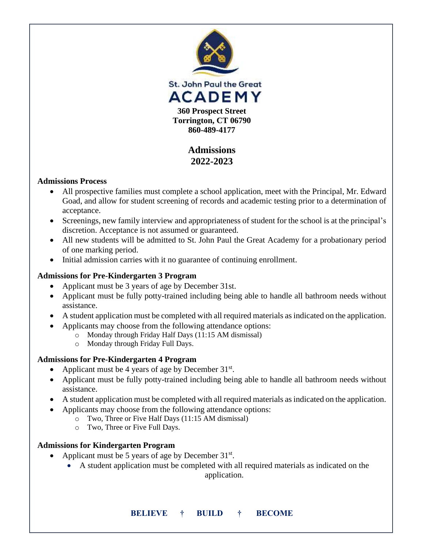

# **Admissions 2022-2023**

### **Admissions Process**

- All prospective families must complete a school application, meet with the Principal, Mr. Edward Goad, and allow for student screening of records and academic testing prior to a determination of acceptance.
- Screenings, new family interview and appropriateness of student for the school is at the principal's discretion. Acceptance is not assumed or guaranteed.
- All new students will be admitted to St. John Paul the Great Academy for a probationary period of one marking period.
- Initial admission carries with it no guarantee of continuing enrollment.

## **Admissions for Pre-Kindergarten 3 Program**

- Applicant must be 3 years of age by December 31st.
- Applicant must be fully potty-trained including being able to handle all bathroom needs without assistance.
- A student application must be completed with all required materials as indicated on the application.
- Applicants may choose from the following attendance options:
	- o Monday through Friday Half Days (11:15 AM dismissal)
	- o Monday through Friday Full Days.

## **Admissions for Pre-Kindergarten 4 Program**

- Applicant must be 4 years of age by December  $31^{st}$ .
- Applicant must be fully potty-trained including being able to handle all bathroom needs without assistance.
- A student application must be completed with all required materials as indicated on the application.
- Applicants may choose from the following attendance options:
	- o Two, Three or Five Half Days (11:15 AM dismissal)
	- o Two, Three or Five Full Days.

### **Admissions for Kindergarten Program**

- Applicant must be 5 years of age by December  $31^{st}$ .
	- A student application must be completed with all required materials as indicated on the

application.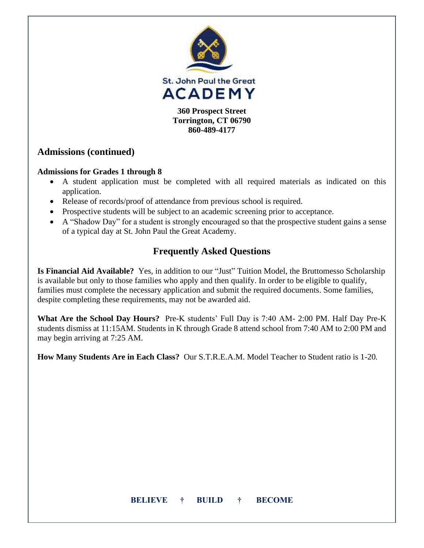

**860-489-4177**

# **Admissions (continued)**

## **Admissions for Grades 1 through 8**

- A student application must be completed with all required materials as indicated on this application.
- Release of records/proof of attendance from previous school is required.
- Prospective students will be subject to an academic screening prior to acceptance.
- A "Shadow Day" for a student is strongly encouraged so that the prospective student gains a sense of a typical day at St. John Paul the Great Academy.

# **Frequently Asked Questions**

**Is Financial Aid Available?** Yes, in addition to our "Just" Tuition Model, the Bruttomesso Scholarship is available but only to those families who apply and then qualify. In order to be eligible to qualify, families must complete the necessary application and submit the required documents. Some families, despite completing these requirements, may not be awarded aid.

**What Are the School Day Hours?** Pre-K students' Full Day is 7:40 AM- 2:00 PM. Half Day Pre-K students dismiss at 11:15AM. Students in K through Grade 8 attend school from 7:40 AM to 2:00 PM and may begin arriving at 7:25 AM.

**How Many Students Are in Each Class?** Our S.T.R.E.A.M. Model Teacher to Student ratio is 1-20*.*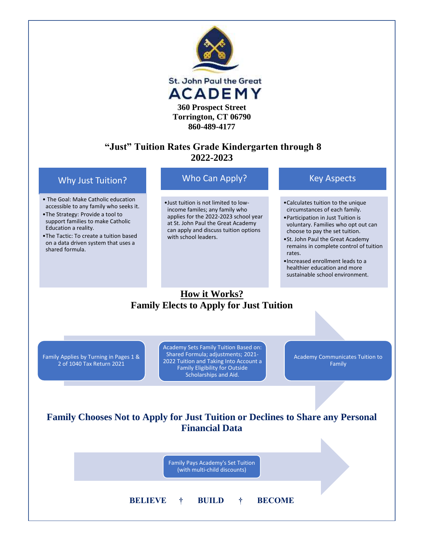

# **"Just" Tuition Rates Grade Kindergarten through 8 2022-2023**

### Why Just Tuition?

- The Goal: Make Catholic education accessible to any family who seeks it.
- •The Strategy: Provide a tool to support families to make Catholic Education a reality.
- •The Tactic: To create a tuition based on a data driven system that uses a shared formula.

## Who Can Apply?

•Just tuition is not limited to lowincome familes; any family who applies for the 2022-2023 school year at St. John Paul the Great Academy can apply and discuss tuition options with school leaders.

### Key Aspects

- •Calculates tuition to the unique circumstances of each family.
- •Participation in Just Tuition is voluntary. Families who opt out can choose to pay the set tuition.
- •St. John Paul the Great Academy remains in complete control of tuition rates.
- •Increased enrollment leads to a healthier education and more sustainable school environment.

# **How it Works? Family Elects to Apply for Just Tuition**

Family Applies by Turning in Pages 1 & 2 of 1040 Tax Return 2021

Academy Sets Family Tuition Based on: Shared Formula; adjustments; 2021- 2022 Tuition and Taking Into Account a Family Eligibility for Outside Scholarships and Aid.

Academy Communicates Tuition to Family

N

# **Family Chooses Not to Apply for Just Tuition or Declines to Share any Personal Financial Data**

| Family Pays Academy's Set Tuition<br>(with multi-child discounts) |  |
|-------------------------------------------------------------------|--|
| <b>BELIEVE</b><br><b>BECOME</b><br><b>BUILD</b><br>$+$<br>$+$     |  |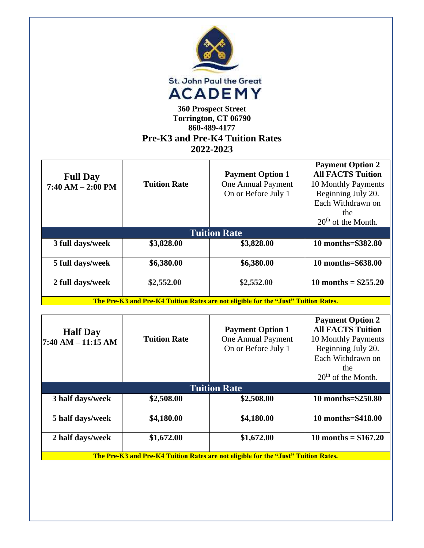|                                          |                     | St. John Paul the Great<br><b>ACADEMY</b><br><b>360 Prospect Street</b><br>Torrington, CT 06790<br>860-489-4177<br><b>Pre-K3 and Pre-K4 Tuition Rates</b><br>2022-2023 |                                                                                                                                                                |
|------------------------------------------|---------------------|------------------------------------------------------------------------------------------------------------------------------------------------------------------------|----------------------------------------------------------------------------------------------------------------------------------------------------------------|
| <b>Full Day</b><br>$7:40 AM - 2:00 PM$   | <b>Tuition Rate</b> | <b>Payment Option 1</b><br>One Annual Payment<br>On or Before July 1                                                                                                   | <b>Payment Option 2</b><br><b>All FACTS Tuition</b><br>10 Monthly Payments<br>Beginning July 20.<br>Each Withdrawn on<br>the<br>20 <sup>th</sup> of the Month. |
|                                          |                     | <b>Tuition Rate</b>                                                                                                                                                    |                                                                                                                                                                |
| 3 full days/week                         | \$3,828.00          | \$3,828.00                                                                                                                                                             | 10 months=\$382.80                                                                                                                                             |
| 5 full days/week                         | \$6,380.00          | \$6,380.00                                                                                                                                                             | 10 months=\$638.00                                                                                                                                             |
| 2 full days/week                         | \$2,552.00          | \$2,552.00                                                                                                                                                             | 10 months = $$255.20$                                                                                                                                          |
|                                          |                     | The Pre-K3 and Pre-K4 Tuition Rates are not eligible for the "Just" Tuition Rates.                                                                                     |                                                                                                                                                                |
| <b>Half Day</b><br>$7:40$ AM $-11:15$ AM | <b>Tuition Rate</b> | <b>Payment Option 1</b><br>One Annual Payment<br>On or Before July 1                                                                                                   | <b>Payment Option 2</b><br><b>All FACTS Tuition</b><br>10 Monthly Payments<br>Beginning July 20.<br>Each Withdrawn on<br>the<br>20 <sup>th</sup> of the Month. |
|                                          |                     | <b>Tuition Rate</b>                                                                                                                                                    |                                                                                                                                                                |
| 3 half days/week                         | \$2,508.00          | \$2,508.00                                                                                                                                                             | 10 months=\$250.80                                                                                                                                             |
| 5 half days/week                         | \$4,180.00          | \$4,180.00                                                                                                                                                             | 10 months=\$418.00                                                                                                                                             |
| 2 half days/week                         | \$1,672.00          | \$1,672.00                                                                                                                                                             | 10 months = $$167.20$                                                                                                                                          |
|                                          |                     | The Pre-K3 and Pre-K4 Tuition Rates are not eligible for the "Just" Tuition Rates.                                                                                     |                                                                                                                                                                |
|                                          |                     |                                                                                                                                                                        |                                                                                                                                                                |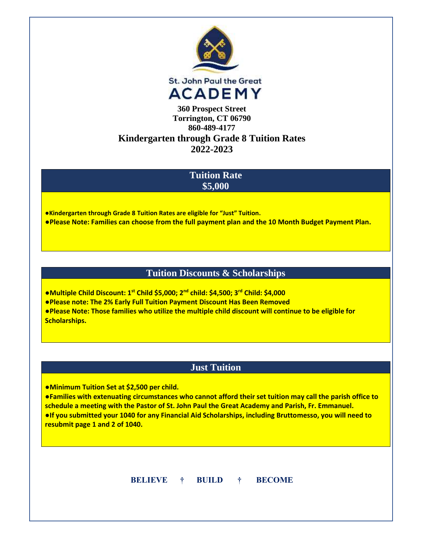

# **Kindergarten through Grade 8 Tuition Rates 2022-2023**

## **Tuition Rate \$5,000**

**●Kindergarten through Grade 8 Tuition Rates are eligible for "Just" Tuition.**

**●Please Note: Families can choose from the full payment plan and the 10 Month Budget Payment Plan.**

## **Tuition Discounts & Scholarships**

**●Multiple Child Discount: 1st Child \$5,000; 2nd child: \$4,500; 3rd Child: \$4,000**

**●Please note: The 2% Early Full Tuition Payment Discount Has Been Removed**

**●Please Note: Those families who utilize the multiple child discount will continue to be eligible for Scholarships.**

# **Just Tuition**

●**Minimum Tuition Set at \$2,500 per child.**

**●Families with extenuating circumstances who cannot afford their set tuition may call the parish office to schedule a meeting with the Pastor of St. John Paul the Great Academy and Parish, Fr. Emmanuel. ●If you submitted your 1040 for any Financial Aid Scholarships, including Bruttomesso, you will need to resubmit page 1 and 2 of 1040.**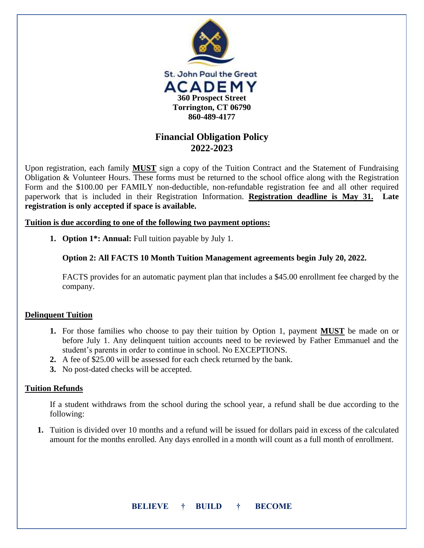

# **Financial Obligation Policy 2022-2023**

Upon registration, each family **MUST** sign a copy of the Tuition Contract and the Statement of Fundraising Obligation & Volunteer Hours. These forms must be returned to the school office along with the Registration Form and the \$100.00 per FAMILY non-deductible, non-refundable registration fee and all other required paperwork that is included in their Registration Information. **Registration deadline is May 31. Late registration is only accepted if space is available.**

**Tuition is due according to one of the following two payment options:**

**1. Option 1\*: Annual:** Full tuition payable by July 1.

**Option 2: All FACTS 10 Month Tuition Management agreements begin July 20, 2022.** 

FACTS provides for an automatic payment plan that includes a \$45.00 enrollment fee charged by the company.

#### **Delinquent Tuition**

- **1.** For those families who choose to pay their tuition by Option 1, payment **MUST** be made on or before July 1. Any delinquent tuition accounts need to be reviewed by Father Emmanuel and the student's parents in order to continue in school. No EXCEPTIONS.
- **2.** A fee of \$25.00 will be assessed for each check returned by the bank.
- **3.** No post-dated checks will be accepted.

### **Tuition Refunds**

If a student withdraws from the school during the school year, a refund shall be due according to the following:

**1.** Tuition is divided over 10 months and a refund will be issued for dollars paid in excess of the calculated amount for the months enrolled. Any days enrolled in a month will count as a full month of enrollment.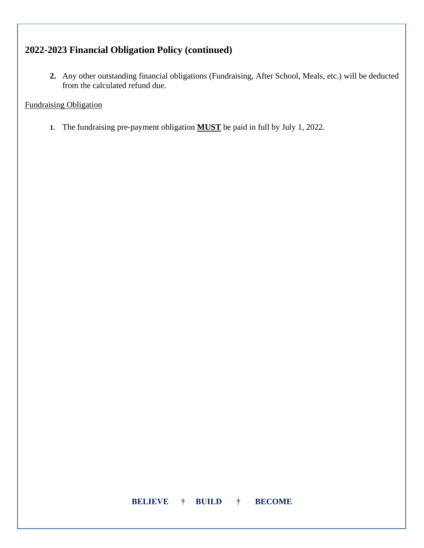# **2022-2023 Financial Obligation Policy (continued)**

**2.** Any other outstanding financial obligations (Fundraising, After School, Meals, etc.) will be deducted from the calculated refund due.

### Fundraising Obligation

**1.** The fundraising pre-payment obligation **MUST** be paid in full by July 1, 2022.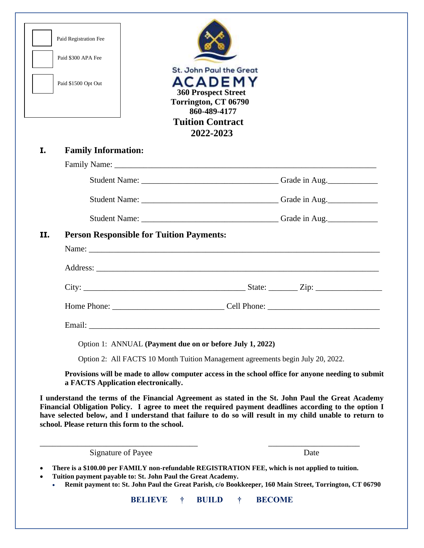| I. | <b>Family Information:</b>          | <b>Tuition Contract</b><br>2022-2023                                                               |  |
|----|-------------------------------------|----------------------------------------------------------------------------------------------------|--|
|    |                                     |                                                                                                    |  |
|    |                                     |                                                                                                    |  |
|    |                                     |                                                                                                    |  |
|    |                                     |                                                                                                    |  |
|    | Email:                              |                                                                                                    |  |
|    |                                     | Option 1: ANNUAL (Payment due on or before July 1, 2022)                                           |  |
|    |                                     | Option 2: All FACTS 10 Month Tuition Management agreements begin July 20, 2022.                    |  |
|    | a FACTS Application electronically. | Provisions will be made to allow computer access in the school office for anyone needing to submit |  |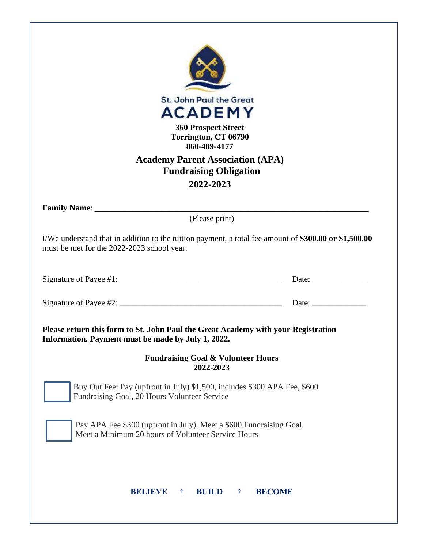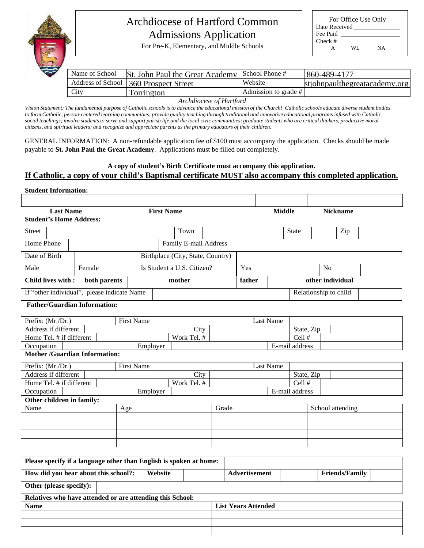

# Archdiocese of Hartford Common Admissions Application

| For Office Use Only |     |    |  |  |  |  |
|---------------------|-----|----|--|--|--|--|
| Date Received       |     |    |  |  |  |  |
| Fee Paid            |     |    |  |  |  |  |
| $Check \#$          |     |    |  |  |  |  |
|                     | WL. | NA |  |  |  |  |

For Pre-K, Elementary, and Middle Schools

| Name of School | St. John Paul the Great Academy School Phone # |                      | 860-489-4177                  |
|----------------|------------------------------------------------|----------------------|-------------------------------|
|                | Address of School 360 Prospect Street          | Website              | stiohnpaulthegreatacademy.org |
| City           | Torrington                                     | Admission to grade # |                               |

*Archdiocese of Hartford*

Archdiocese of Hartford<br>Vision Statement: The fundamental purpose of Catholic schools is to advance the educational mission of the Church! Catholic schools educate diverse student bodies rision statement. The junaamental parpose of Camouc schools is to davance the eaucational mission of the Charch: Camouc schools eaucule aiverse statem bot<br>to form Catholic, person-centered learning communities; provide qua social teachings; involve students to serve and support parish life and the local civic communities; graduate students who are critical thinkers, productive moral citizens, and spiritual leaders; and recognize and appreciate parents as the primary educators of their children.

GENERAL INFORMATION: A non-refundable application fee of \$100 must accompany the application. Checks should be made payable to **St. John Paul the Great Academy**. Applications must be filled out completely.

#### **A copy of student's Birth Certificate must accompany this application. If Catholic, a copy of your child's Baptismal certificate MUST also accompany this completed application.**

#### **Student Information:**

|               | <b>Last Name</b>                            |        |              |     |                   | <b>First Name</b> |                                   |      |       |        |                  | <b>Middle</b> |                |            |    | <b>Nickname</b>       |  |  |
|---------------|---------------------------------------------|--------|--------------|-----|-------------------|-------------------|-----------------------------------|------|-------|--------|------------------|---------------|----------------|------------|----|-----------------------|--|--|
|               | <b>Student's Home Address:</b>              |        |              |     |                   |                   |                                   |      |       |        |                  |               |                |            |    |                       |  |  |
| <b>Street</b> |                                             |        |              |     |                   |                   | Town                              |      |       |        |                  |               | <b>State</b>   |            |    | Zip                   |  |  |
| Home Phone    |                                             |        |              |     |                   |                   | Family E-mail Address             |      |       |        |                  |               |                |            |    |                       |  |  |
| Date of Birth |                                             |        |              |     |                   |                   | Birthplace (City, State, Country) |      |       |        |                  |               |                |            |    |                       |  |  |
| Male          |                                             | Female |              |     |                   |                   | Is Student a U.S. Citizen?        |      |       | Yes    |                  |               |                |            | No |                       |  |  |
|               | Child lives with:                           |        | both parents |     |                   |                   | mother                            |      |       | father |                  |               |                |            |    | other individual      |  |  |
|               | If "other individual", please indicate Name |        |              |     |                   |                   |                                   |      |       |        |                  |               |                |            |    | Relationship to child |  |  |
|               | <b>Father/Guardian Information:</b>         |        |              |     |                   |                   |                                   |      |       |        |                  |               |                |            |    |                       |  |  |
|               |                                             |        |              |     |                   |                   |                                   |      |       |        |                  |               |                |            |    |                       |  |  |
|               | Prefix: (Mr./Dr.)                           |        |              |     | <b>First Name</b> |                   |                                   |      |       |        | <b>Last Name</b> |               |                |            |    |                       |  |  |
|               | Address if different                        |        |              |     |                   |                   |                                   | City |       |        |                  |               |                | State, Zip |    |                       |  |  |
|               | Home Tel. # if different                    |        |              |     |                   |                   | Work Tel. #                       |      |       |        |                  |               | Cell #         |            |    |                       |  |  |
| Occupation    |                                             |        |              |     | Employer          |                   |                                   |      |       |        |                  |               | E-mail address |            |    |                       |  |  |
|               | <b>Mother /Guardian Information:</b>        |        |              |     |                   |                   |                                   |      |       |        |                  |               |                |            |    |                       |  |  |
|               | Prefix: (Mr./Dr.)                           |        |              |     | <b>First Name</b> |                   |                                   |      |       |        | <b>Last Name</b> |               |                |            |    |                       |  |  |
|               | Address if different                        |        |              |     |                   |                   |                                   | City |       |        |                  |               |                | State, Zip |    |                       |  |  |
|               | Home Tel. # if different                    |        |              |     |                   |                   | Work Tel. #                       |      |       |        |                  |               | Cell #         |            |    |                       |  |  |
| Occupation    |                                             |        |              |     | Employer          |                   |                                   |      |       |        |                  |               | E-mail address |            |    |                       |  |  |
|               | Other children in family:                   |        |              |     |                   |                   |                                   |      |       |        |                  |               |                |            |    |                       |  |  |
| Name          |                                             |        |              | Age |                   |                   |                                   |      | Grade |        |                  |               |                |            |    | School attending      |  |  |
|               |                                             |        |              |     |                   |                   |                                   |      |       |        |                  |               |                |            |    |                       |  |  |
|               |                                             |        |              |     |                   |                   |                                   |      |       |        |                  |               |                |            |    |                       |  |  |
|               |                                             |        |              |     |                   |                   |                                   |      |       |        |                  |               |                |            |    |                       |  |  |

| Please specify if a language other than English is spoken at home: |         |  |                            |  |                       |  |  |
|--------------------------------------------------------------------|---------|--|----------------------------|--|-----------------------|--|--|
| How did you hear about this school?:                               | Website |  | <b>Advertisement</b>       |  | <b>Friends/Family</b> |  |  |
| Other (please specify):                                            |         |  |                            |  |                       |  |  |
| Relatives who have attended or are attending this School:          |         |  |                            |  |                       |  |  |
| <b>Name</b>                                                        |         |  | <b>List Years Attended</b> |  |                       |  |  |
|                                                                    |         |  |                            |  |                       |  |  |
|                                                                    |         |  |                            |  |                       |  |  |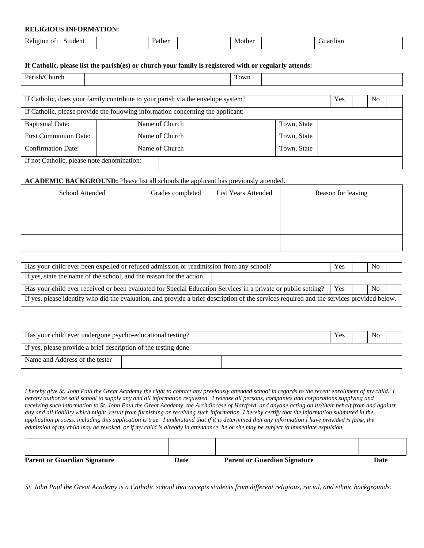#### **RELIGIOUS INFORMATION:**

| Relig<br>Student<br>ΩŤ<br>10r<br>. | Father | Mothe <sub>r</sub> | Juardıan |  |
|------------------------------------|--------|--------------------|----------|--|
|                                    |        |                    |          |  |

#### **If Catholic, please list the parish(es) or church your family is registered with or regularly attends:**

| n. | $\sim$ $\sim$ $\sim$ |  |
|----|----------------------|--|

| If Catholic, does your family contribute to your parish via the envelope system? | <b>Yes</b><br>No. |             |  |  |  |  |  |  |
|----------------------------------------------------------------------------------|-------------------|-------------|--|--|--|--|--|--|
| If Catholic, please provide the following information concerning the applicant:  |                   |             |  |  |  |  |  |  |
| <b>Baptismal Date:</b>                                                           | Name of Church    | Town, State |  |  |  |  |  |  |
| <b>First Communion Date:</b>                                                     | Name of Church    | Town, State |  |  |  |  |  |  |
| <b>Confirmation Date:</b>                                                        | Name of Church    | Town, State |  |  |  |  |  |  |
| If not Catholic, please note denomination:                                       |                   |             |  |  |  |  |  |  |

#### **ACADEMIC BACKGROUND:** Please list all schools the applicant has previously attended.

| School Attended | Grades completed | List Years Attended | Reason for leaving |
|-----------------|------------------|---------------------|--------------------|
|                 |                  |                     |                    |
|                 |                  |                     |                    |
|                 |                  |                     |                    |

| Has your child ever been expelled or refused admission or readmission from any school?                                                    | <b>Yes</b> | N <sub>0</sub> |  |  |  |  |
|-------------------------------------------------------------------------------------------------------------------------------------------|------------|----------------|--|--|--|--|
| If yes, state the name of the school, and the reason for the action.                                                                      |            |                |  |  |  |  |
| Has your child ever received or been evaluated for Special Education Services in a private or public setting?                             | <b>Yes</b> | N <sub>0</sub> |  |  |  |  |
| If yes, please identify who did the evaluation, and provide a brief description of the services required and the services provided below. |            |                |  |  |  |  |
|                                                                                                                                           |            |                |  |  |  |  |
|                                                                                                                                           |            |                |  |  |  |  |
| Has your child ever undergone psycho-educational testing?                                                                                 | <b>Yes</b> | N <sub>0</sub> |  |  |  |  |
| If yes, please provide a brief description of the testing done                                                                            |            |                |  |  |  |  |
| Name and Address of the tester                                                                                                            |            |                |  |  |  |  |
|                                                                                                                                           |            |                |  |  |  |  |

I hereby give St. John Paul the Great Academy the right to contact any previously attended school in regards to the recent enrollment of my child. I hereby authorize said school to supply any and all information requested. I release all persons, companies and corporations supplying and receiving such information to St. John Paul the Great Academy, the Archdiocese of Hartford, and anyone acting on its/their behalf from and against any and all liability which might result from furnishing or receiving such information. I hereby certify that the information submitted in the application process, including this application is true. I understand that if it is determined that any information I have provided is false, the admission of my child may be revoked, or if my child is already in attendance, he or she may be subject to immediate expulsion.

| <b>Parent or Guardian Signature</b> | Date | <b>Parent or Guardian Signature</b> | Date |
|-------------------------------------|------|-------------------------------------|------|

*St. John Paul the Great Academy is a Catholic school that accepts students from different religious, racial, and ethnic backgrounds.*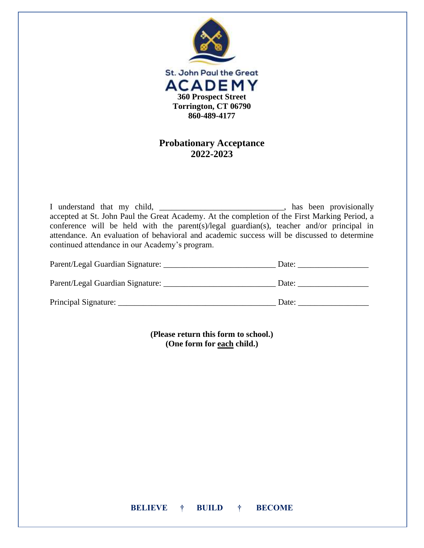

## **Probationary Acceptance 2022-2023**

I understand that my child, \_\_\_\_\_\_\_\_\_\_\_\_\_\_\_\_\_\_\_\_\_\_\_\_\_\_\_\_\_, has been provisionally accepted at St. John Paul the Great Academy. At the completion of the First Marking Period, a conference will be held with the parent(s)/legal guardian(s), teacher and/or principal in attendance. An evaluation of behavioral and academic success will be discussed to determine continued attendance in our Academy's program.

| Parent/Legal Guardian Signature: | Date: |
|----------------------------------|-------|
| Parent/Legal Guardian Signature: | Date: |
| Principal Signature:             | Date: |

**(Please return this form to school.) (One form for each child.)**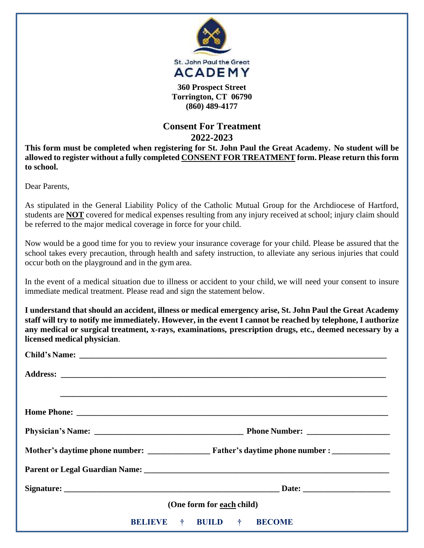

**(860) 489-4177**

# **Consent For Treatment 2022-2023**

**This form must be completed when registering for St. John Paul the Great Academy. No student will be allowed to register without a fully completed CONSENT FOR TREATMENT form. Please return this form to school.**

Dear Parents,

As stipulated in the General Liability Policy of the Catholic Mutual Group for the Archdiocese of Hartford, students are **NOT** covered for medical expenses resulting from any injury received at school; injury claim should be referred to the major medical coverage in force for your child.

Now would be a good time for you to review your insurance coverage for your child. Please be assured that the school takes every precaution, through health and safety instruction, to alleviate any serious injuries that could occur both on the playground and in the gym area.

In the event of a medical situation due to illness or accident to your child, we will need your consent to insure immediate medical treatment. Please read and sign the statement below.

**I understand that should an accident, illness or medical emergency arise, St. John Paul the Great Academy** staff will try to notify me immediately. However, in the event I cannot be reached by telephone, I authorize **any medical or surgical treatment, x-rays, examinations, prescription drugs, etc., deemed necessary by a licensed medical physician**.

| (One form for each child) |                                                  |  |  |  |  |  |
|---------------------------|--------------------------------------------------|--|--|--|--|--|
|                           | <b>BELIEVE</b> † <b>BUILD</b> †<br><b>BECOME</b> |  |  |  |  |  |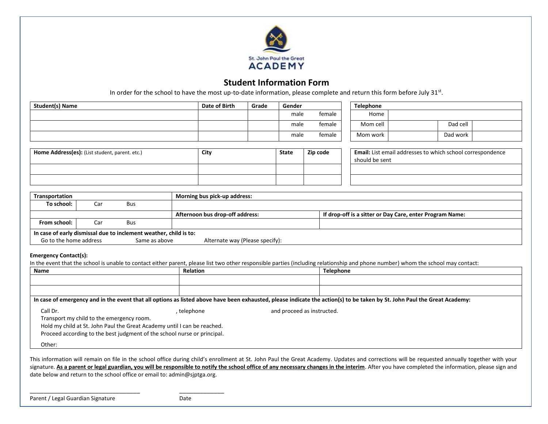

### **Student Information Form**

In order for the school to have the most up-to-date information, please complete and return this form before July 31<sup>st</sup>.

| <b>Student(s) Name</b>                                                                                                                          |                                           |            | Date of Birth                                                                                                                                                                     | Grade                           | Gender   |                                                                              | Telephone                                                |          |
|-------------------------------------------------------------------------------------------------------------------------------------------------|-------------------------------------------|------------|-----------------------------------------------------------------------------------------------------------------------------------------------------------------------------------|---------------------------------|----------|------------------------------------------------------------------------------|----------------------------------------------------------|----------|
|                                                                                                                                                 |                                           |            |                                                                                                                                                                                   |                                 | male     | female                                                                       | Home                                                     |          |
|                                                                                                                                                 |                                           |            |                                                                                                                                                                                   |                                 | male     | female                                                                       | Mom cell                                                 | Dad cell |
|                                                                                                                                                 |                                           |            |                                                                                                                                                                                   |                                 | male     | female                                                                       | Mom work                                                 | Dad work |
| Home Address(es): (List student, parent. etc.)                                                                                                  |                                           | City       | <b>State</b>                                                                                                                                                                      |                                 | Zip code | Email: List email addresses to which school correspondence<br>should be sent |                                                          |          |
|                                                                                                                                                 |                                           |            |                                                                                                                                                                                   |                                 |          |                                                                              |                                                          |          |
| Transportation                                                                                                                                  |                                           |            | Morning bus pick-up address:                                                                                                                                                      |                                 |          |                                                                              |                                                          |          |
| To school:                                                                                                                                      | Car                                       | <b>Bus</b> |                                                                                                                                                                                   |                                 |          |                                                                              |                                                          |          |
|                                                                                                                                                 |                                           |            |                                                                                                                                                                                   | Afternoon bus drop-off address: |          |                                                                              | If drop-off is a sitter or Day Care, enter Program Name: |          |
| From school:                                                                                                                                    | Car                                       | <b>Bus</b> |                                                                                                                                                                                   |                                 |          |                                                                              |                                                          |          |
| In case of early dismissal due to inclement weather, child is to:<br>Go to the home address<br>Same as above<br>Alternate way (Please specify): |                                           |            |                                                                                                                                                                                   |                                 |          |                                                                              |                                                          |          |
| <b>Emergency Contact(s):</b>                                                                                                                    |                                           |            | In the event that the school is unable to contact either parent, please list two other responsible parties (including relationship and phone number) whom the school may contact: |                                 |          |                                                                              |                                                          |          |
| <b>Relation</b><br><b>Name</b>                                                                                                                  |                                           |            | <b>Telephone</b>                                                                                                                                                                  |                                 |          |                                                                              |                                                          |          |
|                                                                                                                                                 |                                           |            |                                                                                                                                                                                   |                                 |          |                                                                              |                                                          |          |
|                                                                                                                                                 |                                           |            |                                                                                                                                                                                   |                                 |          |                                                                              |                                                          |          |
|                                                                                                                                                 |                                           |            | In case of emergency and in the event that all options as listed above have been exhausted, please indicate the action(s) to be taken by St. John Paul the Great Academy:         |                                 |          |                                                                              |                                                          |          |
| Call Dr.<br>Other:                                                                                                                              | Transport my child to the emergency room. |            | , telephone<br>Hold my child at St. John Paul the Great Academy until I can be reached.<br>Proceed according to the best judgment of the school nurse or principal.               |                                 |          | and proceed as instructed.                                                   |                                                          |          |

This information will remain on file in the school office during child's enrollment at St. John Paul the Great Academy. Updates and corrections will be requested annually together with your signature. As a parent or legal guardian, you will be responsible to notify the school office of any necessary changes in the interim</u>. After you have completed the information, please sign and date below and return to the school office or email to: admin@sjptga.org.

\_\_\_\_\_\_\_\_\_\_\_\_\_\_\_\_\_\_\_\_\_\_\_\_\_\_\_\_\_\_\_\_ \_\_\_\_\_\_\_\_\_\_\_\_\_